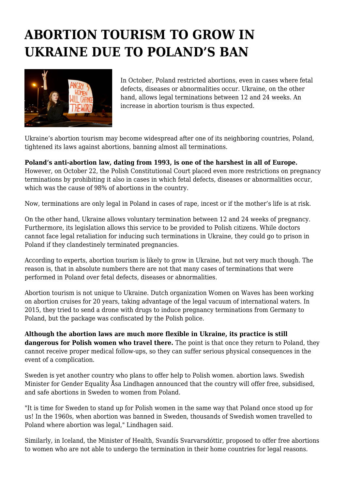## **ABORTION TOURISM TO GROW IN UKRAINE DUE TO POLAND'S BAN**



In October, Poland restricted abortions, even in cases where fetal defects, diseases or abnormalities occur. Ukraine, on the other hand, allows legal terminations between 12 and 24 weeks. An increase in abortion tourism is thus expected.

Ukraine's abortion tourism may become widespread after one of its neighboring countries, Poland, tightened its laws against abortions, banning almost all terminations.

**Poland's anti-abortion law, dating from 1993, is one of the harshest in all of Europe.** However, on October 22, the Polish Constitutional Court placed even more restrictions on pregnancy terminations by prohibiting it also in cases in which fetal defects, diseases or abnormalities occur, which was the cause of 98% of abortions in the country.

Now, terminations are only legal in Poland in cases of rape, incest or if the mother's life is at risk.

On the other hand, Ukraine allows voluntary termination between 12 and 24 weeks of pregnancy. Furthermore, its legislation allows this service to be provided to Polish citizens. While doctors cannot face legal retaliation for inducing such terminations in Ukraine, they could go to prison in Poland if they clandestinely terminated pregnancies.

According to experts, abortion tourism is likely to grow in Ukraine, but not very much though. The reason is, that in absolute numbers there are not that many cases of terminations that were performed in Poland over fetal defects, diseases or abnormalities.

Abortion tourism is not unique to Ukraine. Dutch organization Women on Waves has been working on abortion cruises for 20 years, taking advantage of the legal vacuum of international waters. In 2015, they tried to send a drone with drugs to induce pregnancy terminations from Germany to Poland, but the package was confiscated by the Polish police.

**Although the abortion laws are much more flexible in Ukraine, its practice is still dangerous for Polish women who travel there.** The point is that once they return to Poland, they cannot receive proper medical follow-ups, so they can suffer serious physical consequences in the event of a complication.

Sweden is yet another country who plans to offer help to Polish women. abortion laws. Swedish Minister for Gender Equality Åsa Lindhagen announced that the country will offer free, subsidised, and safe abortions in Sweden to women from Poland.

"It is time for Sweden to stand up for Polish women in the same way that Poland once stood up for us! In the 1960s, when abortion was banned in Sweden, thousands of Swedish women travelled to Poland where abortion was legal," Lindhagen said.

Similarly, in Iceland, the Minister of Health, Svandís Svarvarsdóttir, proposed to offer free abortions to women who are not able to undergo the termination in their home countries for legal reasons.